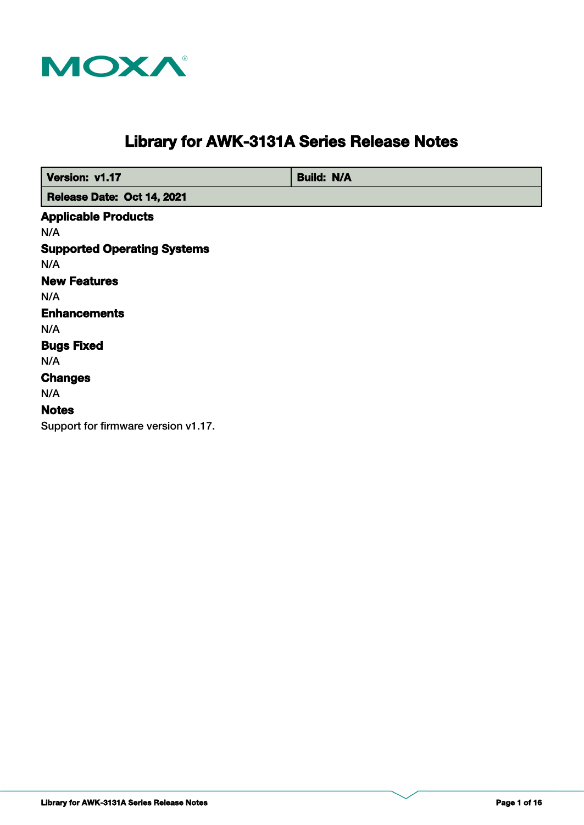

# **Library for AWK-3131A Series Release Notes**

 **Version: v1.17 Build: N/A** 

 **Release Date: Oct 14, 2021**

**Supported Operating Systems Notes Changes Applicable Products Bugs Fixed** N/A N/A **Enhancements** N/A N/A N/A **New Features** N/A

Support for firmware version v1.17.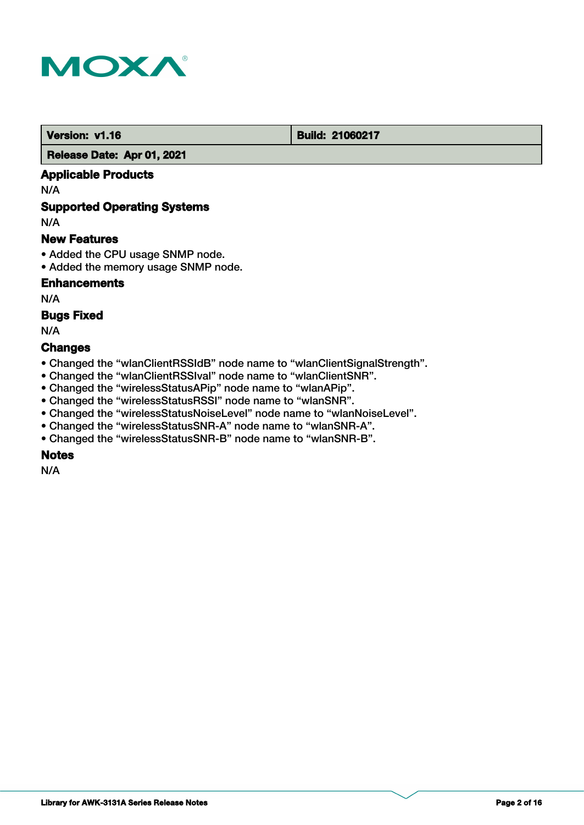

#### **Version: v1.16 Build: 21060217**

 **Release Date: Apr 01, 2021**

# **Applicable Products**

N/A

# **Supported Operating Systems**

N/A

### **New Features**

- Added the CPU usage SNMP node.
- Added the memory usage SNMP node.

# **Enhancements**

N/A

### **Bugs Fixed**

N/A

### **Changes**

- Changed the "wlanClientRSSIdB" node name to "wlanClientSignalStrength".
- Changed the "wlanClientRSSIval" node name to "wlanClientSNR".
- Changed the "wirelessStatusAPip" node name to "wlanAPip".
- Changed the "wirelessStatusRSSI" node name to "wlanSNR".
- Changed the "wirelessStatusNoiseLevel" node name to "wlanNoiseLevel".
- Changed the "wirelessStatusSNR-A" node name to "wlanSNR-A".
- Changed the "wirelessStatusSNR-B" node name to "wlanSNR-B".

# **Notes**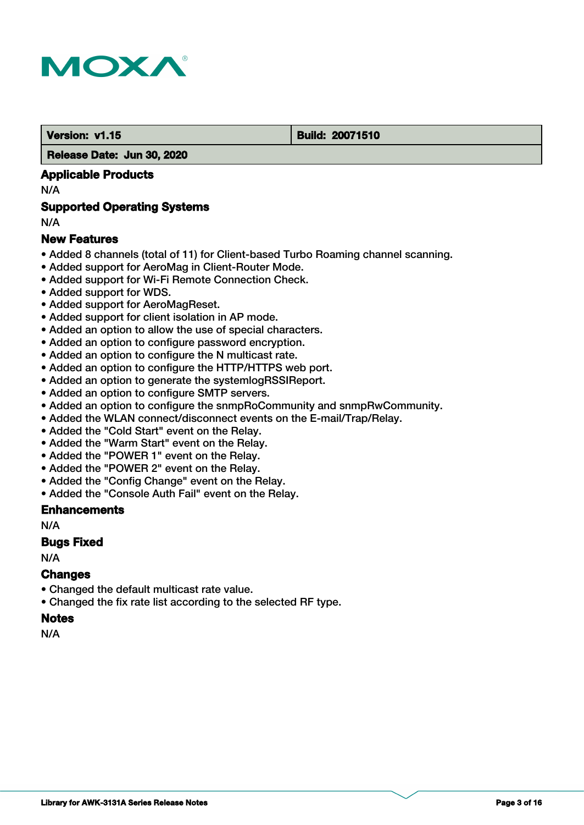

#### **Version: v1.15 Build: 20071510**

#### **Release Date: Jun 30, 2020**

#### **Applicable Products**

N/A

### **Supported Operating Systems**

N/A

### **New Features**

- Added 8 channels (total of 11) for Client-based Turbo Roaming channel scanning.
- Added support for AeroMag in Client-Router Mode.
- Added support for Wi-Fi Remote Connection Check.
- Added support for WDS.
- Added support for AeroMagReset.
- Added support for client isolation in AP mode.
- Added an option to allow the use of special characters.
- Added an option to configure password encryption.
- Added an option to configure the N multicast rate.
- Added an option to configure the HTTP/HTTPS web port.
- Added an option to generate the systemlogRSSIReport.
- Added an option to configure SMTP servers.
- Added an option to configure the snmpRoCommunity and snmpRwCommunity.
- Added the WLAN connect/disconnect events on the E-mail/Trap/Relay.
- Added the "Cold Start" event on the Relay.
- Added the "Warm Start" event on the Relay.
- Added the "POWER 1" event on the Relay.
- Added the "POWER 2" event on the Relay.
- Added the "Config Change" event on the Relay.
- Added the "Console Auth Fail" event on the Relay.

#### **Enhancements**

N/A

#### **Bugs Fixed**

N/A

# **Changes**

- Changed the default multicast rate value.
- Changed the fix rate list according to the selected RF type.

#### **Notes**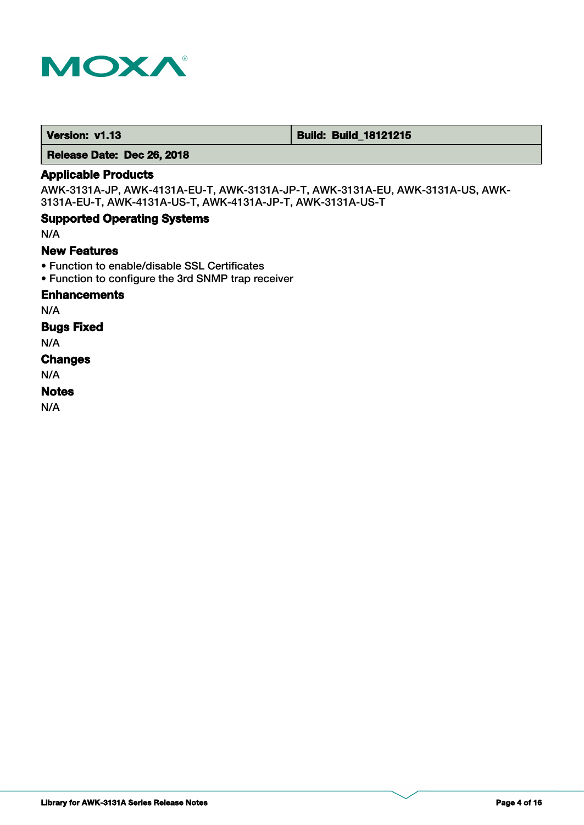

 **Version: v1.13 Build: Build: Build: 18121215** 

 **Release Date: Dec 26, 2018**

# **Applicable Products**

AWK-3131A-JP, AWK-4131A-EU-T, AWK-3131A-JP-T, AWK-3131A-EU, AWK-3131A-US, AWK-3131A-EU-T, AWK-4131A-US-T, AWK-4131A-JP-T, AWK-3131A-US-T

# **Supported Operating Systems**

N/A

### **New Features**

- Function to enable/disable SSL Certificates
- Function to configure the 3rd SNMP trap receiver

### **Enhancements**

N/A

### **Bugs Fixed**

N/A

# **Changes**

N/A

# **Notes**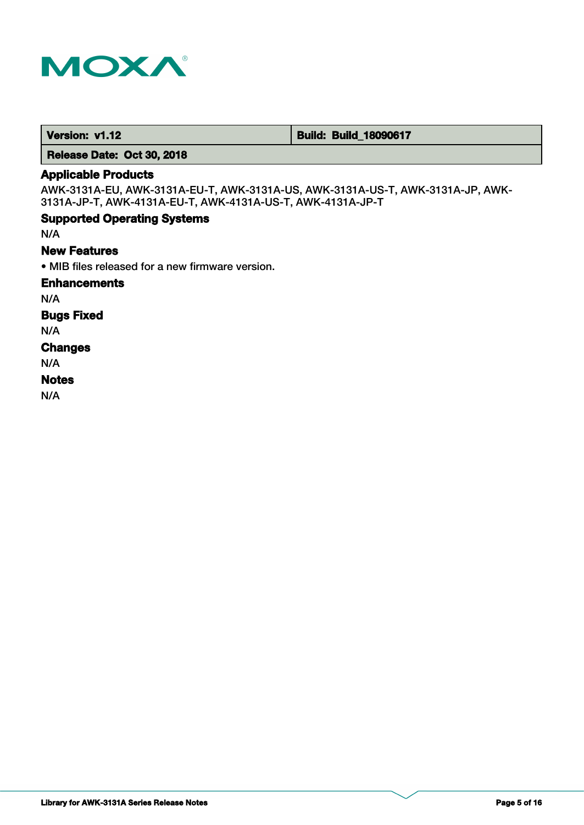

 **Version: v1.12 1.12 Build: Build: Build\_18090617** 

 **Release Date: Oct 30, 2018**

# **Applicable Products**

AWK-3131A-EU, AWK-3131A-EU-T, AWK-3131A-US, AWK-3131A-US-T, AWK-3131A-JP, AWK-3131A-JP-T, AWK-4131A-EU-T, AWK-4131A-US-T, AWK-4131A-JP-T

### **Supported Operating Systems**

N/A

### **New Features**

• MIB files released for a new firmware version.

### **Enhancements**

N/A

# **Bugs Fixed**

N/A

#### **Changes**

N/A

#### **Notes**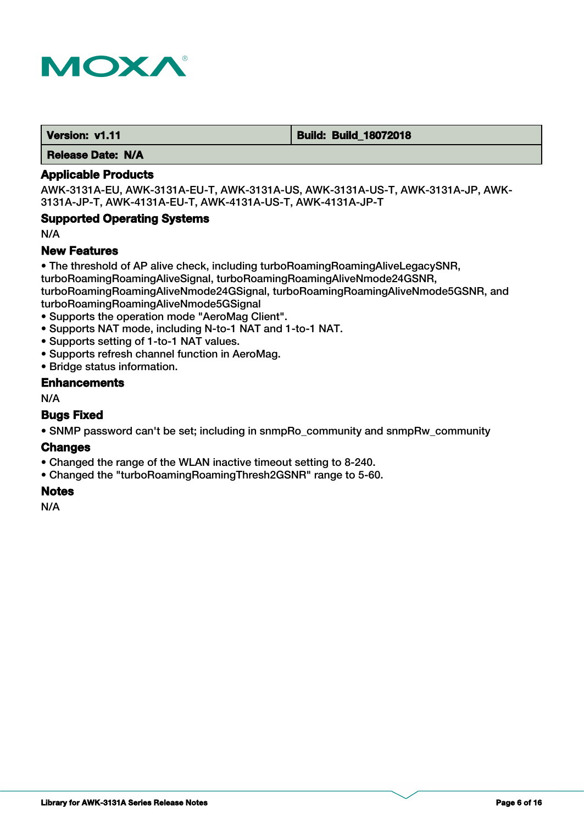

 **Version: v1.11 Contract Contract Contract Contract Contract Contract Contract Contract Contract Contract Contract Contract Contract Contract Contract Contract Contract Contract Contract Contract Contract Contract Contr** 

 **Release Date: N/A**

#### **Applicable Products**

AWK-3131A-EU, AWK-3131A-EU-T, AWK-3131A-US, AWK-3131A-US-T, AWK-3131A-JP, AWK-3131A-JP-T, AWK-4131A-EU-T, AWK-4131A-US-T, AWK-4131A-JP-T

### **Supported Operating Systems**

N/A

#### **New Features**

• The threshold of AP alive check, including turboRoamingRoamingAliveLegacySNR,

turboRoamingRoamingAliveSignal, turboRoamingRoamingAliveNmode24GSNR,

turboRoamingRoamingAliveNmode24GSignal, turboRoamingRoamingAliveNmode5GSNR, and turboRoamingRoamingAliveNmode5GSignal

- Supports the operation mode "AeroMag Client".
- Supports NAT mode, including N-to-1 NAT and 1-to-1 NAT.
- Supports setting of 1-to-1 NAT values.
- Supports refresh channel function in AeroMag.
- Bridge status information.

#### **Enhancements**

N/A

#### **Bugs Fixed**

• SNMP password can't be set; including in snmpRo community and snmpRw community

#### **Changes**

- Changed the range of the WLAN inactive timeout setting to 8-240.
- Changed the "turboRoamingRoamingThresh2GSNR" range to 5-60.

# **Notes**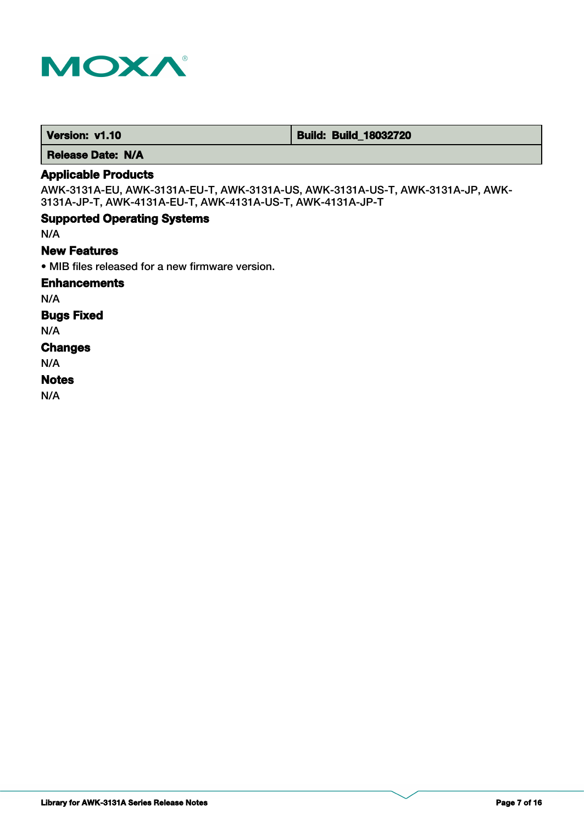

 **Version: v1.10 Build: Build: Build: 18032720** 

 **Release Date: N/A**

### **Applicable Products**

AWK-3131A-EU, AWK-3131A-EU-T, AWK-3131A-US, AWK-3131A-US-T, AWK-3131A-JP, AWK-3131A-JP-T, AWK-4131A-EU-T, AWK-4131A-US-T, AWK-4131A-JP-T

### **Supported Operating Systems**

N/A

### **New Features**

• MIB files released for a new firmware version.

#### **Enhancements**

N/A

# **Bugs Fixed**

N/A

#### **Changes**

N/A

### **Notes**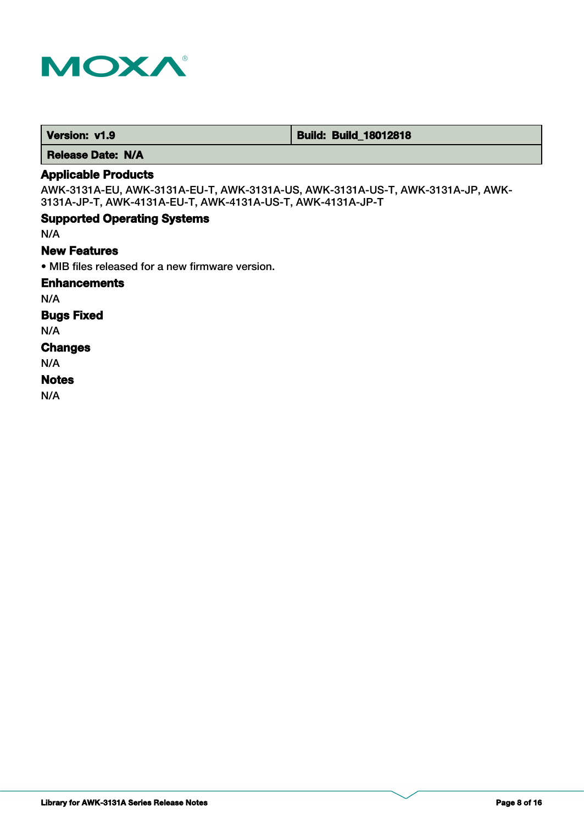

 **Version: v1.9 Build: Build: Build: Build: 18012818** 

 **Release Date: N/A**

# **Applicable Products**

AWK-3131A-EU, AWK-3131A-EU-T, AWK-3131A-US, AWK-3131A-US-T, AWK-3131A-JP, AWK-3131A-JP-T, AWK-4131A-EU-T, AWK-4131A-US-T, AWK-4131A-JP-T

#### **Supported Operating Systems**

N/A

### **New Features**

• MIB files released for a new firmware version.

#### **Enhancements**

N/A

# **Bugs Fixed**

N/A

#### **Changes**

N/A

#### **Notes**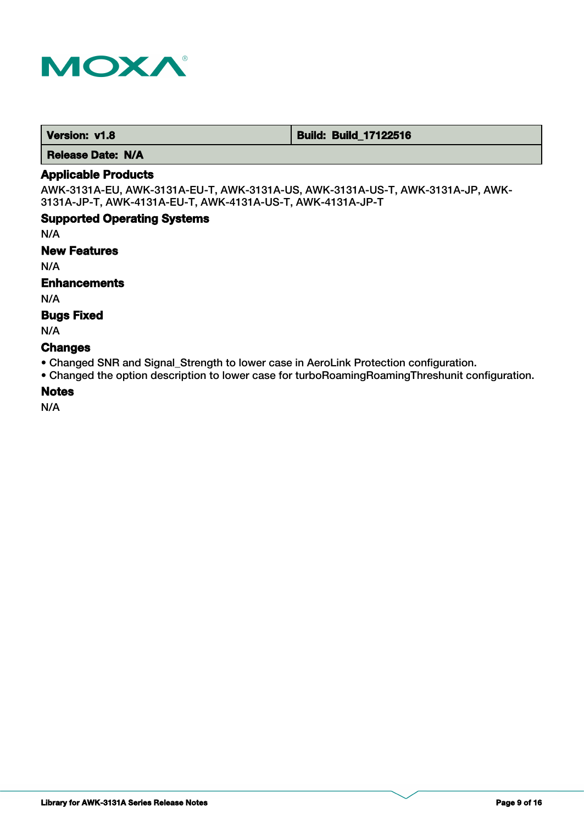

 **Version: v1.8 Build: Build: Build: 17122516** 

 **Release Date: N/A**

# **Applicable Products**

AWK-3131A-EU, AWK-3131A-EU-T, AWK-3131A-US, AWK-3131A-US-T, AWK-3131A-JP, AWK-3131A-JP-T, AWK-4131A-EU-T, AWK-4131A-US-T, AWK-4131A-JP-T

# **Supported Operating Systems**

N/A

#### **New Features**

N/A

## **Enhancements**

N/A

# **Bugs Fixed**

N/A

### **Changes**

- Changed SNR and Signal\_Strength to lower case in AeroLink Protection configuration.
- Changed the option description to lower case for turboRoamingRoamingThreshunit configuration.

#### **Notes**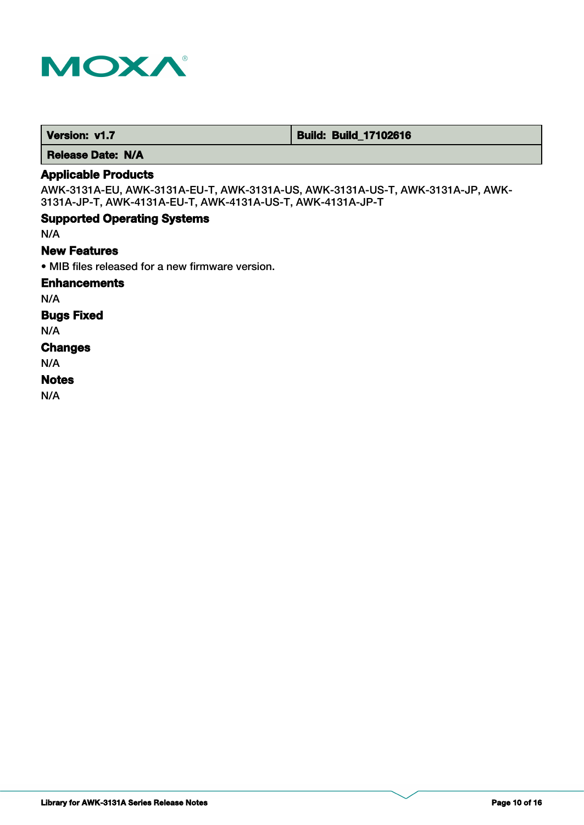

 **Version: v1.7 1.7 Build: Build: Build\_17102616** 

 **Release Date: N/A**

# **Applicable Products**

AWK-3131A-EU, AWK-3131A-EU-T, AWK-3131A-US, AWK-3131A-US-T, AWK-3131A-JP, AWK-3131A-JP-T, AWK-4131A-EU-T, AWK-4131A-US-T, AWK-4131A-JP-T

### **Supported Operating Systems**

N/A

### **New Features**

• MIB files released for a new firmware version.

#### **Enhancements**

N/A

# **Bugs Fixed**

N/A

#### **Changes**

N/A

### **Notes**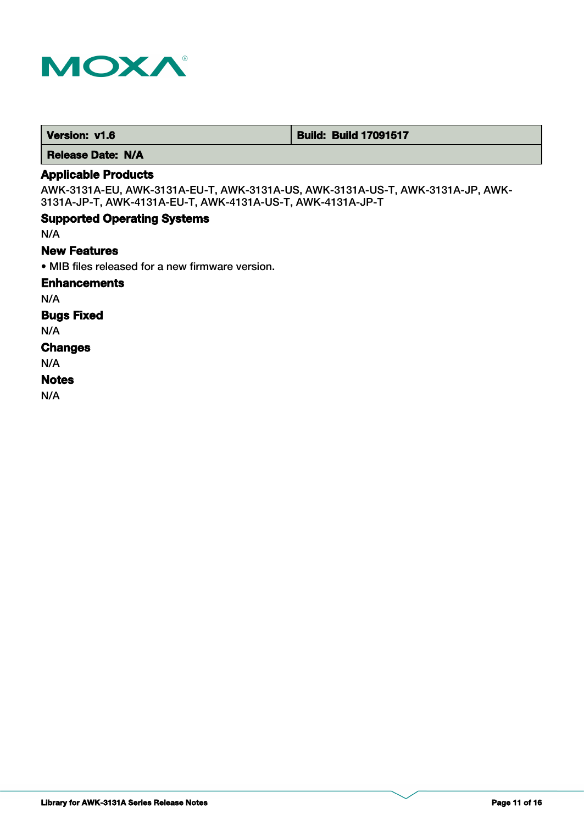

 **Version: v1.6 Build: Build: Build 17091517** 

 **Release Date: N/A**

# **Applicable Products**

AWK-3131A-EU, AWK-3131A-EU-T, AWK-3131A-US, AWK-3131A-US-T, AWK-3131A-JP, AWK-3131A-JP-T, AWK-4131A-EU-T, AWK-4131A-US-T, AWK-4131A-JP-T

### **Supported Operating Systems**

N/A

### **New Features**

• MIB files released for a new firmware version.

#### **Enhancements**

N/A

# **Bugs Fixed**

N/A

#### **Changes**

N/A

### **Notes**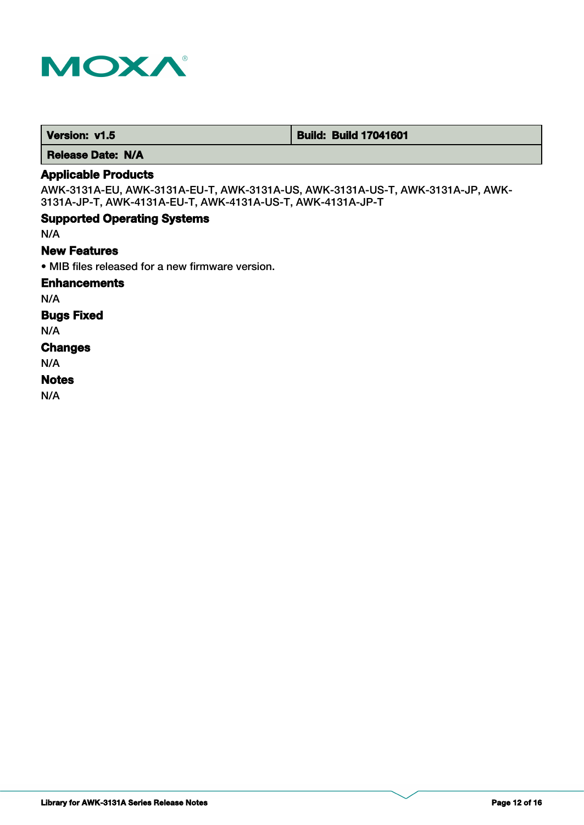

 **Version: v1.5 Build: Build: Build 17041601** 

 **Release Date: N/A**

# **Applicable Products**

AWK-3131A-EU, AWK-3131A-EU-T, AWK-3131A-US, AWK-3131A-US-T, AWK-3131A-JP, AWK-3131A-JP-T, AWK-4131A-EU-T, AWK-4131A-US-T, AWK-4131A-JP-T

### **Supported Operating Systems**

N/A

### **New Features**

• MIB files released for a new firmware version.

#### **Enhancements**

N/A

# **Bugs Fixed**

N/A

#### **Changes**

N/A

### **Notes**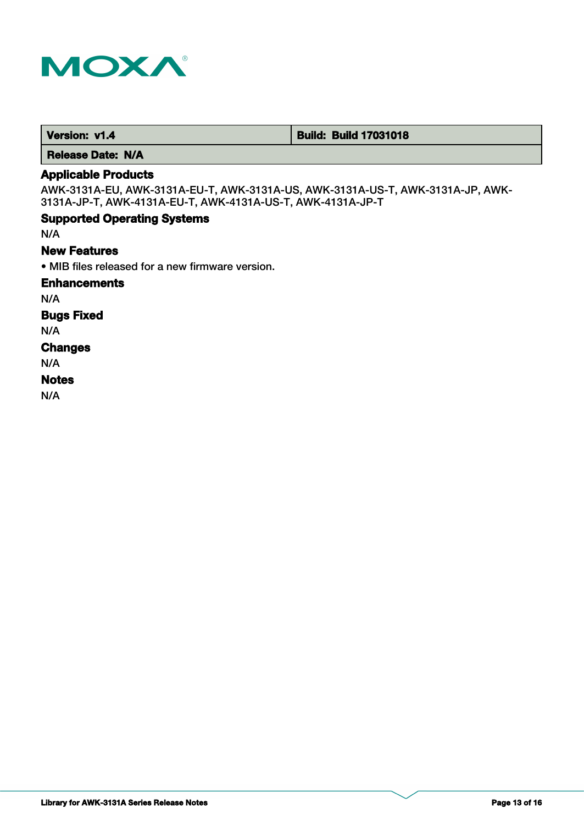

 **Version: v1.4 Build: Build: Build 17031018** 

 **Release Date: N/A**

# **Applicable Products**

AWK-3131A-EU, AWK-3131A-EU-T, AWK-3131A-US, AWK-3131A-US-T, AWK-3131A-JP, AWK-3131A-JP-T, AWK-4131A-EU-T, AWK-4131A-US-T, AWK-4131A-JP-T

### **Supported Operating Systems**

N/A

### **New Features**

• MIB files released for a new firmware version.

#### **Enhancements**

N/A

# **Bugs Fixed**

N/A

#### **Changes**

N/A

### **Notes**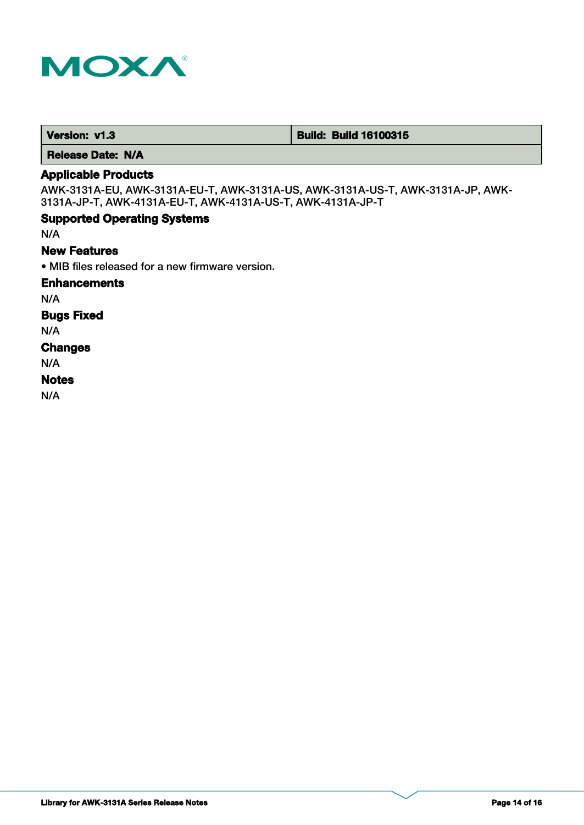

 **Version: v1.3 Build: Build: Build 16100315** 

 **Release Date: N/A**

# **Applicable Products**

AWK-3131A-EU, AWK-3131A-EU-T, AWK-3131A-US, AWK-3131A-US-T, AWK-3131A-JP, AWK-3131A-JP-T, AWK-4131A-EU-T, AWK-4131A-US-T, AWK-4131A-JP-T

### **Supported Operating Systems**

N/A

### **New Features**

• MIB files released for a new firmware version.

#### **Enhancements**

N/A

# **Bugs Fixed**

N/A

#### **Changes**

N/A

### **Notes**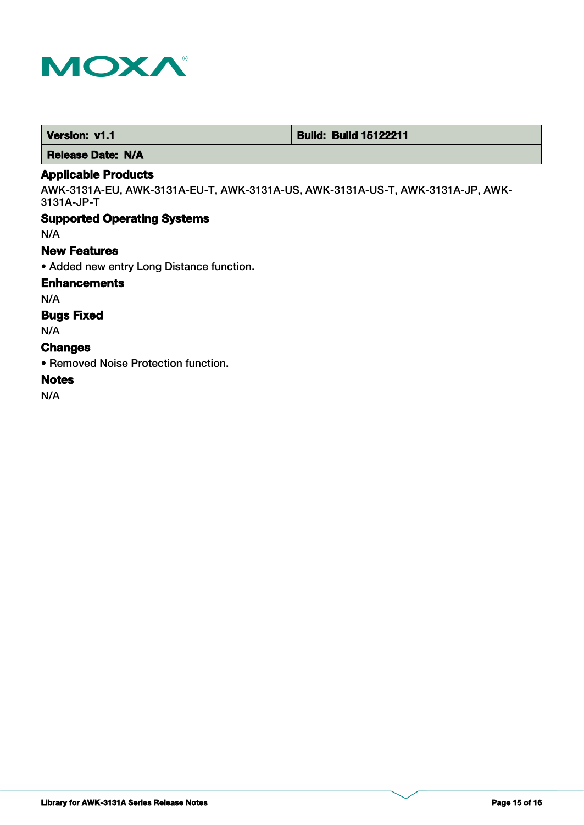

 **Version: v1.1 Version: v1.1 Build: Build: Build 15122211** 

 **Release Date: N/A**

### **Applicable Products**

AWK-3131A-EU, AWK-3131A-EU-T, AWK-3131A-US, AWK-3131A-US-T, AWK-3131A-JP, AWK-3131A-JP-T

### **Supported Operating Systems**

N/A

### **New Features**

• Added new entry Long Distance function.

### **Enhancements**

N/A

### **Bugs Fixed**

N/A

### **Changes**

• Removed Noise Protection function.

# **Notes**